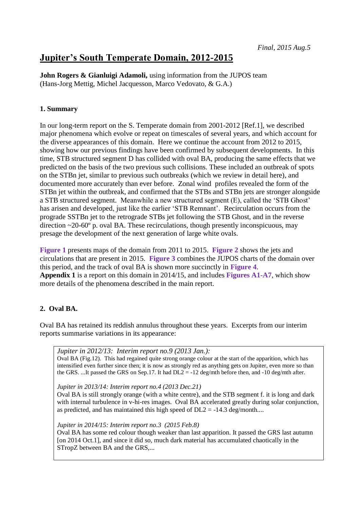# **Jupiter's South Temperate Domain, 2012-2015**

**John Rogers & Gianluigi Adamoli,** using information from the JUPOS team (Hans-Jorg Mettig, Michel Jacquesson, Marco Vedovato, & G.A.)

## **1. Summary**

In our long-term report on the S. Temperate domain from 2001-2012 [Ref.1], we described major phenomena which evolve or repeat on timescales of several years, and which account for the diverse appearances of this domain. Here we continue the account from 2012 to 2015, showing how our previous findings have been confirmed by subsequent developments. In this time, STB structured segment D has collided with oval BA, producing the same effects that we predicted on the basis of the two previous such collisions. These included an outbreak of spots on the STBn jet, similar to previous such outbreaks (which we review in detail here), and documented more accurately than ever before. Zonal wind profiles revealed the form of the STBn jet within the outbreak, and confirmed that the STBs and STBn jets are stronger alongside a STB structured segment. Meanwhile a new structured segment (E), called the 'STB Ghost' has arisen and developed, just like the earlier 'STB Remnant'. Recirculation occurs from the prograde SSTBn jet to the retrograde STBs jet following the STB Ghost, and in the reverse direction  $\sim$ 20-60 $\degree$  p. oval BA. These recirculations, though presently inconspicuous, may presage the development of the next generation of large white ovals.

**Figure 1** presents maps of the domain from 2011 to 2015. **Figure 2** shows the jets and circulations that are present in 2015. **Figure 3** combines the JUPOS charts of the domain over this period, and the track of oval BA is shown more succinctly in **Figure 4**. **Appendix 1** is a report on this domain in 2014/15, and includes **Figures A1-A7**, which show more details of the phenomena described in the main report.

## **2. Oval BA.**

Oval BA has retained its reddish annulus throughout these years. Excerpts from our interim reports summarise variations in its appearance:

## *Jupiter in 2012/13: Interim report no.9 (2013 Jan.):*

Oval BA (Fig.12). This had regained quite strong orange colour at the start of the apparition, which has intensified even further since then; it is now as strongly red as anything gets on Jupiter, even more so than the GRS. ...It passed the GRS on Sep.17. It had  $DL2 = -12$  deg/mth before then, and -10 deg/mth after.

*Jupiter in 2013/14: Interim report no.4 (2013 Dec.21)*

Oval BA is still strongly orange (with a white centre), and the STB segment f. it is long and dark with internal turbulence in v-hi-res images. Oval BA accelerated greatly during solar conjunction, as predicted, and has maintained this high speed of  $DL2 = -14.3$  deg/month....

*Jupiter in 2014/15: Interim report no.3 (2015 Feb.8)*

Oval BA has some red colour though weaker than last apparition. It passed the GRS last autumn [on 2014 Oct.1], and since it did so, much dark material has accumulated chaotically in the STropZ between BA and the GRS,...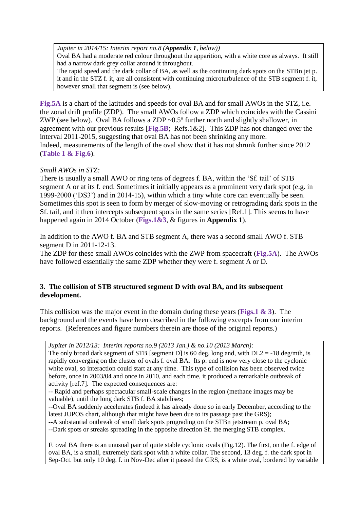*Jupiter in 2014/15: Interim report no.8 (Appendix 1, below))*

Oval BA had a moderate red colour throughout the apparition, with a white core as always. It still had a narrow dark grey collar around it throughout.

The rapid speed and the dark collar of BA, as well as the continuing dark spots on the STBn jet p. it and in the STZ f. it, are all consistent with continuing microturbulence of the STB segment f. it, however small that segment is (see below).

**Fig.5A** is a chart of the latitudes and speeds for oval BA and for small AWOs in the STZ, i.e. the zonal drift profile (ZDP). The small AWOs follow a ZDP which coincides with the Cassini ZWP (see below). Oval BA follows a ZDP ~0.5º further north and slightly shallower, in agreement with our previous results [**Fig.5B**; Refs.1&2]. This ZDP has not changed over the interval 2011-2015, suggesting that oval BA has not been shrinking any more. Indeed, measurements of the length of the oval show that it has not shrunk further since 2012 (**Table 1 & Fig.6**).

## *Small AWOs in STZ:*

There is usually a small AWO or ring tens of degrees f. BA, within the 'Sf. tail' of STB segment A or at its f. end. Sometimes it initially appears as a prominent very dark spot (e.g. in 1999-2000 ('DS3') and in 2014-15), within which a tiny white core can eventually be seen. Sometimes this spot is seen to form by merger of slow-moving or retrograding dark spots in the Sf. tail, and it then intercepts subsequent spots in the same series [Ref.1]. This seems to have happened again in 2014 October (**Figs.1&3**, & figures in **Appendix 1**).

In addition to the AWO f. BA and STB segment A, there was a second small AWO f. STB segment D in 2011-12-13.

The ZDP for these small AWOs coincides with the ZWP from spacecraft (**Fig.5A**). The AWOs have followed essentially the same ZDP whether they were f. segment A or D.

## **3. The collision of STB structured segment D with oval BA, and its subsequent development.**

This collision was the major event in the domain during these years (**Figs.1 & 3**). The background and the events have been described in the following excerpts from our interim reports. (References and figure numbers therein are those of the original reports.)

*Jupiter in 2012/13: Interim reports no.9 (2013 Jan.) & no.10 (2013 March):* The only broad dark segment of STB [segment D] is 60 deg. long and, with  $DL2 = -18$  deg/mth, is rapidly converging on the cluster of ovals f. oval BA. Its p. end is now very close to the cyclonic white oval, so interaction could start at any time. This type of collision has been observed twice before, once in 2003/04 and once in 2010, and each time, it produced a remarkable outbreak of activity [ref.7]. The expected consequences are:

-- Rapid and perhaps spectacular small-scale changes in the region (methane images may be valuable), until the long dark STB f. BA stabilises;

--Oval BA suddenly accelerates (indeed it has already done so in early December, according to the latest JUPOS chart, although that might have been due to its passage past the GRS);

--A substantial outbreak of small dark spots prograding on the STBn jetstream p. oval BA;

--Dark spots or streaks spreading in the opposite direction Sf. the merging STB complex.

F. oval BA there is an unusual pair of quite stable cyclonic ovals (Fig.12). The first, on the f. edge of oval BA, is a small, extremely dark spot with a white collar. The second, 13 deg. f. the dark spot in Sep-Oct. but only 10 deg. f. in Nov-Dec after it passed the GRS, is a white oval, bordered by variable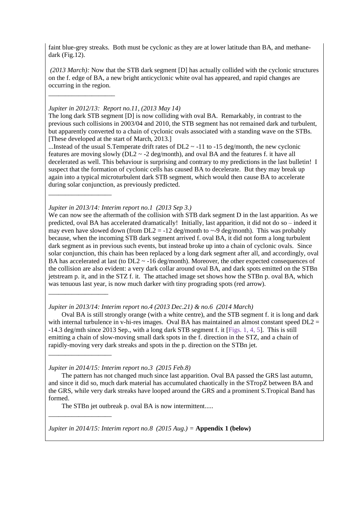faint blue-grey streaks. Both must be cyclonic as they are at lower latitude than BA, and methanedark (Fig.12).

*(2013 March):* Now that the STB dark segment [D] has actually collided with the cyclonic structures on the f. edge of BA, a new bright anticyclonic white oval has appeared, and rapid changes are occurring in the region.

#### *Jupiter in 2012/13: Report no.11, (2013 May 14)*

\_\_\_\_\_\_\_\_\_\_\_\_\_\_\_\_\_\_\_\_

\_\_\_\_\_\_\_\_\_\_\_\_\_\_\_\_\_\_\_

\_\_\_\_\_\_\_\_\_\_\_\_\_\_\_\_\_\_\_

\_\_\_\_\_\_\_\_\_\_\_\_\_\_\_\_\_\_\_

The long dark STB segment [D] is now colliding with oval BA. Remarkably, in contrast to the previous such collisions in 2003/04 and 2010, the STB segment has not remained dark and turbulent, but apparently converted to a chain of cyclonic ovals associated with a standing wave on the STBs. [These developed at the start of March, 2013.]

...Instead of the usual S.Temperate drift rates of  $DL2 \sim -11$  to  $-15$  deg/month, the new cyclonic features are moving slowly ( $DL2 \sim -2$  deg/month), and oval BA and the features f. it have all decelerated as well. This behaviour is surprising and contrary to my predictions in the last bulletin! I suspect that the formation of cyclonic cells has caused BA to decelerate. But they may break up again into a typical microturbulent dark STB segment, which would then cause BA to accelerate during solar conjunction, as previously predicted.

*Jupiter in 2013/14: Interim report no.1 (2013 Sep 3.)*

We can now see the aftermath of the collision with STB dark segment D in the last apparition. As we predicted, oval BA has accelerated dramatically! Initially, last apparition, it did not do so – indeed it may even have slowed down (from  $DL2 = -12$  deg/month to  $\sim$ -9 deg/month). This was probably because, when the incoming STB dark segment arrived f. oval BA, it did not form a long turbulent dark segment as in previous such events, but instead broke up into a chain of cyclonic ovals. Since solar conjunction, this chain has been replaced by a long dark segment after all, and accordingly, oval BA has accelerated at last (to  $DL2 \sim -16$  deg/month). Moreover, the other expected consequences of the collision are also evident: a very dark collar around oval BA, and dark spots emitted on the STBn jetstream p. it, and in the STZ f. it. The attached image set shows how the STBn p. oval BA, which was tenuous last year, is now much darker with tiny prograding spots (red arrow). \_\_\_\_\_\_\_\_\_\_\_\_\_\_\_\_\_\_

*Jupiter in 2013/14: Interim report no.4 (2013 Dec.21) & no.6 (2014 March)*

Oval BA is still strongly orange (with a white centre), and the STB segment f. it is long and dark with internal turbulence in v-hi-res images. Oval BA has maintained an almost constant speed  $DL2 =$ -14.3 deg/mth since 2013 Sep., with a long dark STB segment f. it [Figs. 1, 4, 5]. This is still emitting a chain of slow-moving small dark spots in the f. direction in the STZ, and a chain of rapidly-moving very dark streaks and spots in the p. direction on the STBn jet.

*Jupiter in 2014/15: Interim report no.3 (2015 Feb.8)*

The pattern has not changed much since last apparition. Oval BA passed the GRS last autumn, and since it did so, much dark material has accumulated chaotically in the STropZ between BA and the GRS, while very dark streaks have looped around the GRS and a prominent S.Tropical Band has formed.

The STBn jet outbreak p. oval BA is now intermittent.....

*Jupiter in 2014/15: Interim report no.8 (2015 Aug.) =* **Appendix 1 (below)**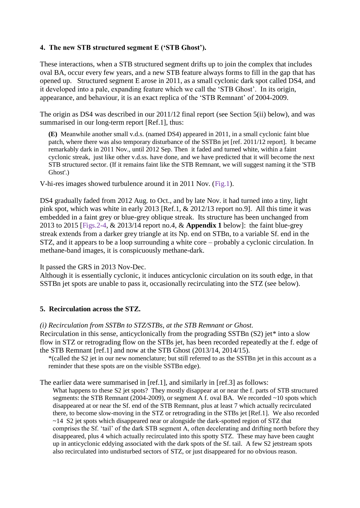## **4. The new STB structured segment E ('STB Ghost').**

These interactions, when a STB structured segment drifts up to join the complex that includes oval BA, occur every few years, and a new STB feature always forms to fill in the gap that has opened up. Structured segment E arose in 2011, as a small cyclonic dark spot called DS4, and it developed into a pale, expanding feature which we call the 'STB Ghost'. In its origin, appearance, and behaviour, it is an exact replica of the 'STB Remnant' of 2004-2009.

The origin as DS4 was described in our 2011/12 final report (see Section 5(ii) below), and was summarised in our long-term report [Ref.1], thus:

**(E)** Meanwhile another small v.d.s. (named DS4) appeared in 2011, in a small cyclonic faint blue patch, where there was also temporary disturbance of the SSTBn jet [ref. 2011/12 report]. It became remarkably dark in 2011 Nov., until 2012 Sep. Then it faded and turned white, within a faint cyclonic streak, just like other v.d.ss. have done, and we have predicted that it will become the next STB structured sector. (If it remains faint like the STB Remnant, we will suggest naming it the 'STB Ghost'.)

V-hi-res images showed turbulence around it in 2011 Nov. (Fig.1).

DS4 gradually faded from 2012 Aug. to Oct., and by late Nov. it had turned into a tiny, light pink spot, which was white in early 2013 [Ref.1, & 2012/13 report no.9]. All this time it was embedded in a faint grey or blue-grey oblique streak. Its structure has been unchanged from 2013 to 2015 [Figs.2-4, & 2013/14 report no.4, & **Appendix 1** below]: the faint blue-grey streak extends from a darker grey triangle at its Np. end on STBn, to a variable Sf. end in the STZ, and it appears to be a loop surrounding a white core – probably a cyclonic circulation. In methane-band images, it is conspicuously methane-dark.

It passed the GRS in 2013 Nov-Dec.

Although it is essentially cyclonic, it induces anticyclonic circulation on its south edge, in that SSTBn jet spots are unable to pass it, occasionally recirculating into the STZ (see below).

## **5. Recirculation across the STZ.**

#### *(i) Recirculation from SSTBn to STZ/STBs, at the STB Remnant or Ghost.*

Recirculation in this sense, anticyclonically from the prograding SSTBn (S2) jet\* into a slow flow in STZ or retrograding flow on the STBs jet, has been recorded repeatedly at the f. edge of the STB Remnant [ref.1] and now at the STB Ghost (2013/14, 2014/15).

\*(called the S2 jet in our new nomenclature; but still referred to as the SSTBn jet in this account as a reminder that these spots are on the visible SSTBn edge).

The earlier data were summarised in [ref.1], and similarly in [ref.3] as follows:

What happens to these S2 jet spots? They mostly disappear at or near the f. parts of STB structured segments: the STB Remnant (2004-2009), or segment A f. oval BA. We recorded ~10 spots which disappeared at or near the Sf. end of the STB Remnant, plus at least 7 which actually recirculated there, to become slow-moving in the STZ or retrograding in the STBs jet [Ref.1]. We also recorded ~14 S2 jet spots which disappeared near or alongside the dark-spotted region of STZ that comprises the Sf. 'tail' of the dark STB segment A, often decelerating and drifting north before they disappeared, plus 4 which actually recirculated into this spotty STZ. These may have been caught up in anticyclonic eddying associated with the dark spots of the Sf. tail. A few S2 jetstream spots also recirculated into undisturbed sectors of STZ, or just disappeared for no obvious reason.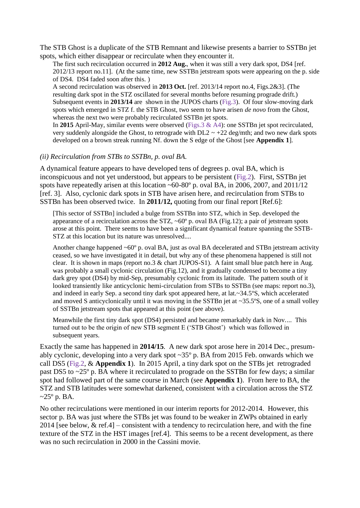The STB Ghost is a duplicate of the STB Remnant and likewise presents a barrier to SSTBn jet spots, which either disappear or recirculate when they encounter it.

The first such recirculation occurred in **2012 Aug.**, when it was still a very dark spot, DS4 [ref. 2012/13 report no.11]. (At the same time, new SSTBn jetstream spots were appearing on the p. side of DS4. DS4 faded soon after this. )

A second recirculation was observed in **2013 Oct.** [ref. 2013/14 report no.4, Figs.2&3]. (The resulting dark spot in the STZ oscillated for several months before resuming prograde drift.) Subsequent events in **2013/14** are shown in the JUPOS charts (Fig.3). Of four slow-moving dark spots which emerged in STZ f. the STB Ghost, two seem to have arisen *de novo* from the Ghost, whereas the next two were probably recirculated SSTBn jet spots.

In **2015** April-May, similar events were observed (Figs.3 & A4): one SSTBn jet spot recirculated, very suddenly alongside the Ghost, to retrograde with  $DL2 \sim +22$  deg/mth; and two new dark spots developed on a brown streak running Nf. down the S edge of the Ghost [see **Appendix 1**].

#### *(ii) Recirculation from STBs to SSTBn, p. oval BA.*

A dynamical feature appears to have developed tens of degrees p. oval BA, which is inconspicuous and not yet understood, but appears to be persistent (Fig.2). First, SSTBn jet spots have repeatedly arisen at this location  $\sim 60-80^\circ$  p. oval BA, in 2006, 2007, and 2011/12 [ref. 3]. Also, cyclonic dark spots in STB have arisen here, and recirculation from STBs to SSTBn has been observed twice. In **2011/12,** quoting from our final report [Ref.6]:

[This sector of SSTBn] included a bulge from SSTBn into STZ, which in Sep. developed the appearance of a recirculation across the STZ,  $\sim 60^{\circ}$  p. oval BA (Fig.12); a pair of jetstream spots arose at this point. There seems to have been a significant dynamical feature spanning the SSTB-STZ at this location but its nature was unresolved....

Another change happened  $~60^{\circ}$  p. oval BA, just as oval BA decelerated and STBn jetstream activity ceased, so we have investigated it in detail, but why any of these phenomena happened is still not clear. It is shown in maps (report no.3 & chart JUPOS-S1). A faint small blue patch here in Aug. was probably a small cyclonic circulation (Fig.12), and it gradually condensed to become a tiny dark grey spot (DS4) by mid-Sep, presumably cyclonic from its latitude. The pattern south of it looked transiently like anticyclonic hemi-circulation from STBs to SSTBn (see maps: report no.3), and indeed in early Sep. a second tiny dark spot appeared here, at lat.~34.5ºS, which accelerated and moved S anticyclonically until it was moving in the SSTBn jet at  $\sim$ 35.5°S, one of a small volley of SSTBn jetstream spots that appeared at this point (see above).

Meanwhile the first tiny dark spot (DS4) persisted and became remarkably dark in Nov.... This turned out to be the origin of new STB segment E ('STB Ghost') which was followed in subsequent years.

Exactly the same has happened in **2014/15**. A new dark spot arose here in 2014 Dec., presumably cyclonic, developing into a very dark spot ~35º p. BA from 2015 Feb. onwards which we call DS5 (Fig.2, & **Appendix 1**). In 2015 April, a tiny dark spot on the STBs jet retrograded past DS5 to ~25º p. BA where it recirculated to prograde on the SSTBn for few days; a similar spot had followed part of the same course in March (see **Appendix 1**). From here to BA, the STZ and STB latitudes were somewhat darkened, consistent with a circulation across the STZ  $\sim$ 25 $\degree$  p. BA.

No other recirculations were mentioned in our interim reports for 2012-2014. However, this sector p. BA was just where the STBs jet was found to be weaker in ZWPs obtained in early 2014 [see below,  $\&$  ref.4] – consistent with a tendency to recirculation here, and with the fine texture of the STZ in the HST images [ref.4]. This seems to be a recent development, as there was no such recirculation in 2000 in the Cassini movie.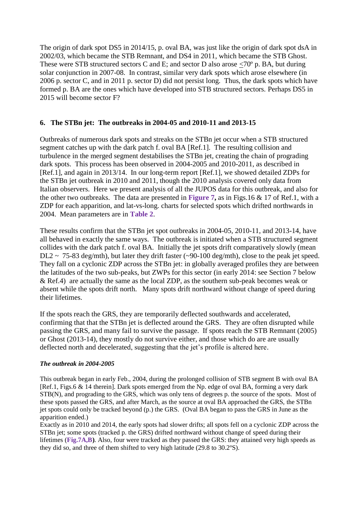The origin of dark spot DS5 in 2014/15, p. oval BA, was just like the origin of dark spot dsA in 2002/03, which became the STB Remnant, and DS4 in 2011, which became the STB Ghost. These were STB structured sectors C and E; and sector D also arose  $\leq 70^{\circ}$  p. BA, but during solar conjunction in 2007-08. In contrast, similar very dark spots which arose elsewhere (in 2006 p. sector C, and in 2011 p. sector D) did not persist long. Thus, the dark spots which have formed p. BA are the ones which have developed into STB structured sectors. Perhaps DS5 in 2015 will become sector F?

## **6. The STBn jet: The outbreaks in 2004-05 and 2010-11 and 2013-15**

Outbreaks of numerous dark spots and streaks on the STBn jet occur when a STB structured segment catches up with the dark patch f. oval BA [Ref.1]. The resulting collision and turbulence in the merged segment destabilises the STBn jet, creating the chain of prograding dark spots. This process has been observed in 2004-2005 and 2010-2011, as described in [Ref.1], and again in 2013/14. In our long-term report [Ref.1], we showed detailed ZDPs for the STBn jet outbreak in 2010 and 2011, though the 2010 analysis covered only data from Italian observers. Here we present analysis of all the JUPOS data for this outbreak, and also for the other two outbreaks. The data are presented in **Figure 7,** as in Figs.16 & 17 of Ref.1, with a ZDP for each apparition, and lat-vs-long. charts for selected spots which drifted northwards in 2004. Mean parameters are in **Table 2**.

These results confirm that the STBn jet spot outbreaks in 2004-05, 2010-11, and 2013-14, have all behaved in exactly the same ways. The outbreak is initiated when a STB structured segment collides with the dark patch f. oval BA. Initially the jet spots drift comparatively slowly (mean DL2 ~ 75-83 deg/mth), but later they drift faster (~90-100 deg/mth), close to the peak jet speed. They fall on a cyclonic ZDP across the STBn jet: in globally averaged profiles they are between the latitudes of the two sub-peaks, but ZWPs for this sector (in early 2014: see Section 7 below & Ref.4) are actually the same as the local ZDP, as the southern sub-peak becomes weak or absent while the spots drift north. Many spots drift northward without change of speed during their lifetimes.

If the spots reach the GRS, they are temporarily deflected southwards and accelerated, confirming that that the STBn jet is deflected around the GRS. They are often disrupted while passing the GRS, and many fail to survive the passage. If spots reach the STB Remnant (2005) or Ghost (2013-14), they mostly do not survive either, and those which do are are usually deflected north and decelerated, suggesting that the jet's profile is altered here.

#### *The outbreak in 2004-2005*

This outbreak began in early Feb., 2004, during the prolonged collision of STB segment B with oval BA [Ref.1, Figs.6 & 14 therein]. Dark spots emerged from the Np. edge of oval BA, forming a very dark STB(N), and prograding to the GRS, which was only tens of degrees p. the source of the spots. Most of these spots passed the GRS, and after March, as the source at oval BA approached the GRS, the STBn jet spots could only be tracked beyond (p.) the GRS. (Oval BA began to pass the GRS in June as the apparition ended.)

Exactly as in 2010 and 2014, the early spots had slower drifts; all spots fell on a cyclonic ZDP across the STBn jet; some spots (tracked p. the GRS) drifted northward without change of speed during their lifetimes (**Fig.7A,B)**. Also, four were tracked as they passed the GRS: they attained very high speeds as they did so, and three of them shifted to very high latitude (29.8 to 30.2ºS).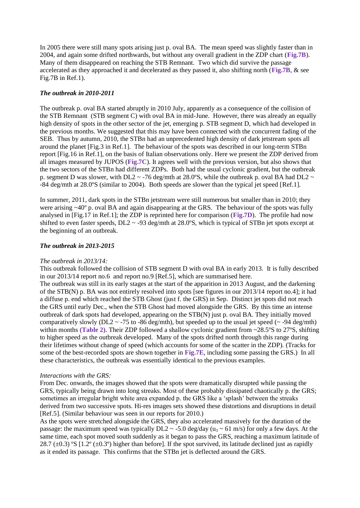In 2005 there were still many spots arising just p. oval BA. The mean speed was slightly faster than in 2004, and again some drifted northwards, but without any overall gradient in the ZDP chart (**Fig.7B**). Many of them disappeared on reaching the STB Remnant. Two which did survive the passage accelerated as they approached it and decelerated as they passed it, also shifting north (**Fig.7B**, & see Fig.7B in Ref.1).

#### *The outbreak in 2010-2011*

The outbreak p. oval BA started abruptly in 2010 July, apparently as a consequence of the collision of the STB Remnant (STB segment C) with oval BA in mid-June. However, there was already an equally high density of spots in the other sector of the jet, emerging p. STB segment D, which had developed in the previous months. We suggested that this may have been connected with the concurrent fading of the SEB. Thus by autumn, 2010, the STBn had an unprecedented high density of dark jetstream spots all around the planet [Fig.3 in Ref.1]. The behaviour of the spots was described in our long-term STBn report [Fig.16 in Ref.1], on the basis of Italian observations only. Here we present the ZDP derived from all images measured by JUPOS (**Fig.7C**). It agrees well with the previous version, but also shows that the two sectors of the STBn had different ZDPs. Both had the usual cyclonic gradient, but the outbreak p. segment D was slower, with DL2  $\sim$  -76 deg/mth at 28.0°S, while the outbreak p. oval BA had DL2  $\sim$ -84 deg/mth at 28.0ºS (similar to 2004). Both speeds are slower than the typical jet speed [Ref.1].

In summer, 2011, dark spots in the STBn jetstream were still numerous but smaller than in 2010; they were arising ~40° p. oval BA and again disappearing at the GRS. The behaviour of the spots was fully analysed in [Fig.17 in Ref.1]; the ZDP is reprinted here for comparison (**Fig.7D**). The profile had now shifted to even faster speeds,  $DL2 \sim -93$  deg/mth at 28.0°S, which is typical of STBn jet spots except at the beginning of an outbreak.

#### *The outbreak in 2013-2015*

#### *The outbreak in 2013/14:*

This outbreak followed the collision of STB segment D with oval BA in early 2013. It is fully described in our 2013/14 report no.6 and report no.9 [Ref.5], which are summarised here.

The outbreak was still in its early stages at the start of the apparition in 2013 August, and the darkening of the STB(N) p. BA was not entirely resolved into spots [see figures in our 2013/14 report no.4]; it had a diffuse p. end which reached the STB Ghost (just f. the GRS) in Sep. Distinct jet spots did not reach the GRS until early Dec., when the STB Ghost had moved alongside the GRS. By this time an intense outbreak of dark spots had developed, appearing on the STB(N) just p. oval BA. They initially moved comparatively slowly (DL2  $\sim$  -75 to -86 deg/mth), but speeded up to the usual jet speed ( $\sim$  -94 deg/mth) within months **(Table 2)**. Their ZDP followed a shallow cyclonic gradient from ~28.5ºS to 27ºS, shifting to higher speed as the outbreak developed. Many of the spots drifted north through this range during their lifetimes without change of speed (which accounts for some of the scatter in the ZDP). (Tracks for some of the best-recorded spots are shown together in **Fig.7E**, including some passing the GRS.) In all these characteristics, the outbreak was essentially identical to the previous examples.

#### *Interactions with the GRS:*

From Dec. onwards, the images showed that the spots were dramatically disrupted while passing the GRS, typically being drawn into long streaks. Most of these probably dissipated chaotically p. the GRS; sometimes an irregular bright white area expanded p. the GRS like a 'splash' between the streaks derived from two successive spots*.* Hi-res images sets showed these distortions and disruptions in detail [Ref.5]. (Similar behaviour was seen in our reports for 2010.)

As the spots were stretched alongside the GRS, they also accelerated massively for the duration of the passage: the maximum speed was typically DL2  $\sim$  -5.0 deg/day (u<sub>3</sub>  $\sim$  61 m/s) for only a few days. At the same time, each spot moved south suddenly as it began to pass the GRS, reaching a maximum latitude of 28.7 ( $\pm$ 0.3) °S [1.2° ( $\pm$ 0.3°) higher than before]. If the spot survived, its latitude declined just as rapidly as it ended its passage. This confirms that the STBn jet is deflected around the GRS.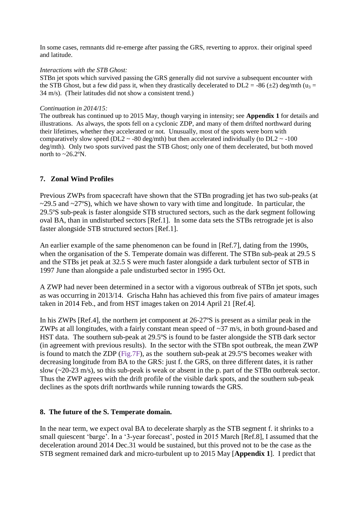In some cases, remnants did re-emerge after passing the GRS, reverting to approx. their original speed and latitude.

#### *Interactions with the STB Ghost:*

STBn jet spots which survived passing the GRS generally did not survive a subsequent encounter with the STB Ghost, but a few did pass it, when they drastically decelerated to DL2 = -86 ( $\pm$ 2) deg/mth (u<sub>3</sub> = 34 m/s). (Their latitudes did not show a consistent trend.)

#### *Continuation in 2014/15:*

The outbreak has continued up to 2015 May, though varying in intensity; see **Appendix 1** for details and illustrations. As always, the spots fell on a cyclonic ZDP, and many of them drifted northward during their lifetimes, whether they accelerated or not. Unusually, most of the spots were born with comparatively slow speed (DL2  $\sim$  -80 deg/mth) but then accelerated individually (to DL2  $\sim$  -100 deg/mth). Only two spots survived past the STB Ghost; only one of them decelerated, but both moved north to  $\sim$  26.2°N.

## **7. Zonal Wind Profiles**

Previous ZWPs from spacecraft have shown that the STBn prograding jet has two sub-peaks (at  $\sim$ 29.5 and  $\sim$ 27°S), which we have shown to vary with time and longitude. In particular, the 29.5ºS sub-peak is faster alongside STB structured sectors, such as the dark segment following oval BA, than in undisturbed sectors [Ref.1]. In some data sets the STBs retrograde jet is also faster alongside STB structured sectors [Ref.1].

An earlier example of the same phenomenon can be found in [Ref.7], dating from the 1990s, when the organisation of the S. Temperate domain was different. The STBn sub-peak at 29.5 S and the STBs jet peak at 32.5 S were much faster alongside a dark turbulent sector of STB in 1997 June than alongside a pale undisturbed sector in 1995 Oct.

A ZWP had never been determined in a sector with a vigorous outbreak of STBn jet spots, such as was occurring in 2013/14. Grischa Hahn has achieved this from five pairs of amateur images taken in 2014 Feb., and from HST images taken on 2014 April 21 [Ref.4].

In his ZWPs [Ref.4], the northern jet component at 26-27ºS is present as a similar peak in the ZWPs at all longitudes, with a fairly constant mean speed of  $\sim$ 37 m/s, in both ground-based and HST data. The southern sub-peak at 29.5ºS is found to be faster alongside the STB dark sector (in agreement with previous results). In the sector with the STBn spot outbreak, the mean ZWP is found to match the ZDP (Fig.7F), as the southern sub-peak at 29.5ºS becomes weaker with decreasing longitude from BA to the GRS: just f. the GRS, on three different dates, it is rather slow  $(\sim 20-23 \text{ m/s})$ , so this sub-peak is weak or absent in the p. part of the STBn outbreak sector. Thus the ZWP agrees with the drift profile of the visible dark spots, and the southern sub-peak declines as the spots drift northwards while running towards the GRS.

## **8. The future of the S. Temperate domain.**

In the near term, we expect oval BA to decelerate sharply as the STB segment f. it shrinks to a small quiescent 'barge'. In a '3-year forecast', posted in 2015 March [Ref.8], I assumed that the deceleration around 2014 Dec.31 would be sustained, but this proved not to be the case as the STB segment remained dark and micro-turbulent up to 2015 May [**Appendix 1**]. I predict that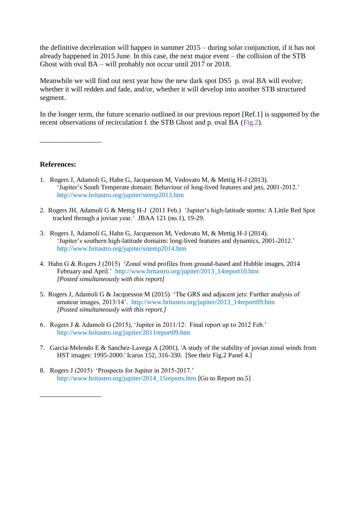the definitive deceleration will happen in summer 2015 – during solar conjunction, if it has not already happened in 2015 June. In this case, the next major event – the collision of the STB Ghost with oval BA – will probably not occur until 2017 or 2018.

Meanwhile we will find out next year how the new dark spot DS5 p. oval BA will evolve; whether it will redden and fade, and/or, whether it will develop into another STB structured segment.

In the longer term, the future scenario outlined in our previous report [Ref.1] is supported by the recent observations of recirculation f. the STB Ghost and p. oval BA (Fig.2).

**References:**

\_\_\_\_\_\_\_\_\_\_\_\_\_\_\_\_\_

\_\_\_\_\_\_\_\_\_\_\_\_\_\_\_\_\_

- 1. Rogers J, Adamoli G, Hahn G, Jacquesson M, Vedovato M, & Mettig H-J (2013). 'Jupiter's South Temperate domain: Behaviour of long-lived features and jets, 2001-2012.' http://www.britastro.org/jupiter/stemp2013.htm
- 2. Rogers JH, Adamoli G & Mettig H-J (2011 Feb.) 'Jupiter's high-latitude storms: A Little Red Spot tracked through a jovian year.' JBAA 121 (no.1), 19-29.
- 3. Rogers J, Adamoli G, Hahn G, Jacquesson M, Vedovato M, & Mettig H-J (2014). 'Jupiter's southern high-latitude domains: long-lived features and dynamics, 2001-2012.' http://www.britastro.org/jupiter/sstemp2014.htm
- 4. Hahn G & Rogers J (2015) 'Zonal wind profiles from ground-based and Hubble images, 2014 February and April.' http://www.britastro.org/jupiter/2013\_14report10.htm *[Posted simultaneously with this report]*
- 5. Rogers J, Adamoli G & Jacquesson M (2015) 'The GRS and adjacent jets: Further analysis of amateur images, 2013/14'. http://www.britastro.org/jupiter/2013\_14report09.htm *[Posted simultaneously with this report.]*
- 6. Rogers J & Adamoli G (2015), 'Jupiter in 2011/12: Final report up to 2012 Feb.' http://www.britastro.org/jupiter/2011report09.htm
- 7. Garcia-Melendo E & Sanchez-Lavega A (2001). 'A study of the stability of jovian zonal winds from HST images: 1995-2000.' Icarus 152, 316-330. [See their Fig.2 Panel 4.]
- 8. Rogers J (2015) 'Prospects for Jupiter in 2015-2017.' http://www.britastro.org/jupiter/2014\_15reports.htm [Go to Report no.5]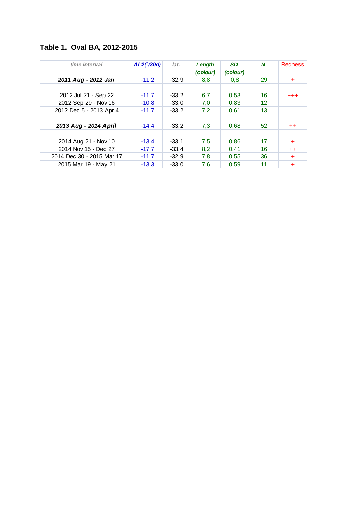# **Table 1. Oval BA, 2012-2015**

| time interval             | $\Delta L2(^{\circ}/30d)$ | lat.    | Length   | <b>SD</b> | N  | <b>Redness</b> |
|---------------------------|---------------------------|---------|----------|-----------|----|----------------|
|                           |                           |         | (colour) | (colour)  |    |                |
| 2011 Aug - 2012 Jan       | $-11,2$                   | $-32,9$ | 8,8      | 0,8       | 29 | $\ddot{}$      |
|                           |                           |         |          |           |    |                |
| 2012 Jul 21 - Sep 22      | $-11,7$                   | $-33.2$ | 6,7      | 0.53      | 16 | $^{+++}$       |
| 2012 Sep 29 - Nov 16      | $-10,8$                   | $-33,0$ | 7,0      | 0,83      | 12 |                |
| 2012 Dec 5 - 2013 Apr 4   | $-11,7$                   | $-33,2$ | 7,2      | 0,61      | 13 |                |
|                           |                           |         |          |           |    |                |
| 2013 Aug - 2014 April     | $-14.4$                   | $-33.2$ | 7,3      | 0.68      | 52 | $++$           |
|                           |                           |         |          |           |    |                |
| 2014 Aug 21 - Nov 10      | $-13,4$                   | $-33.1$ | 7,5      | 0,86      | 17 | ÷              |
| 2014 Nov 15 - Dec 27      | $-17.7$                   | $-33.4$ | 8,2      | 0,41      | 16 | $^{++}$        |
| 2014 Dec 30 - 2015 Mar 17 | $-11,7$                   | $-32,9$ | 7,8      | 0,55      | 36 | $\ddot{}$      |
| 2015 Mar 19 - May 21      | $-13,3$                   | $-33,0$ | 7,6      | 0.59      | 11 | $\ddot{}$      |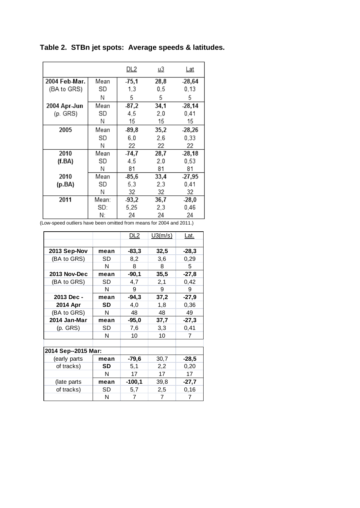**Table 2. STBn jet spots: Average speeds & latitudes.**

|               |       | <u>DL2</u> | <u>u3</u> | Lat      |
|---------------|-------|------------|-----------|----------|
| 2004 Feb-Mar. | Mean  | $-75,1$    | 28,8      | $-28,64$ |
| (BA to GRS)   | SD    | 1,3        | 0,5       | 0,13     |
|               | Ν     | 5          | 5         | 5.       |
| 2004 Apr-Jun  | Mean  | $-87,2$    | 34,1      | $-28,14$ |
| (p. GRS)      | SD    | 4,5        | 2,0       | 0,41     |
|               | Ν     | 15         | 15        | 15       |
| 2005          | Mean  | $-89,8$    | 35,2      | $-28,26$ |
|               | SD    | 6,0        | 2,6       | 0,33     |
|               | Ν     | 22         | 22        | 22       |
| 2010          | Mean  | -74,7      | 28,7      | $-28,18$ |
| (f.BA)        | SD    | 4,5        | 2,0       | 0,53     |
|               | Ν     | 81         | 81        | 81       |
| 2010          | Mean  | -85,6      | 33,4      | $-27,95$ |
| (p.BA)        | SD    | 5,3        | 2,3       | 0,41     |
|               | Ν     | 32         | 32        | 32       |
| 2011          | Mean: | $-93,2$    | 36,7      | $-28,0$  |
|               | SD:   | 5,25       | 2,3       | 0,46     |
|               | N:    | 24         | 24        | 24       |

(Low-speed outliers have been omitted from means for 2004 and 2011.)

|                     |      | <u>DL2</u> | U3(m/s) | <u>Lat.</u> |
|---------------------|------|------------|---------|-------------|
|                     |      |            |         |             |
| 2013 Sep-Nov        | mean | $-83,3$    | 32,5    | $-28.3$     |
| (BA to GRS)         | SD   | 8,2        | 3.6     | 0,29        |
|                     | N    | 8          | 8       | 5           |
| 2013 Nov-Dec        | mean | -90,1      | 35,5    | $-27,8$     |
| (BA to GRS)         | SD   | 4,7        | 2,1     | 0,42        |
|                     | N    | 9          | 9       | 9           |
| 2013 Dec -          | mean | $-94,3$    | 37,2    | -27,9       |
| 2014 Apr            | SD   | 4,0        | 1,8     | 0,36        |
| (BA to GRS)         | N    | 48         | 48      | 49          |
| 2014 Jan-Mar        | mean | $-95,0$    | 37,7    | $-27,3$     |
| $(p.$ GRS $)$       | SD   | 7,6        | 3,3     | 0,41        |
|                     | N    | 10         | 10      | 7           |
|                     |      |            |         |             |
| 2014 Sep--2015 Mar: |      |            |         |             |
| (early parts        | mean | -79.6      | 30,7    | $-28,5$     |
| of tracks)          | SD   | 5,1        | 2,2     | 0,20        |
|                     | N    | 17         | 17      | 17          |
| (late parts         | mean | $-100,1$   | 39,8    | $-27,7$     |
| of tracks)          | SD   | 5,7        | 2,5     | 0,16        |
|                     | N    | 7          | 7       | 7           |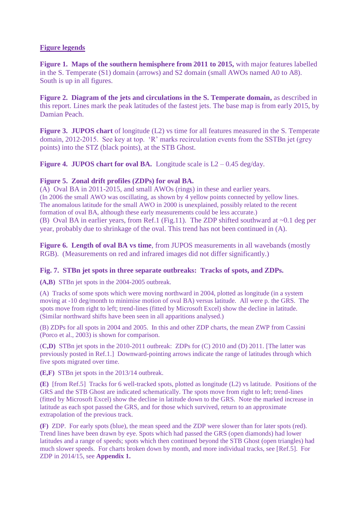## **Figure legends**

**Figure 1. Maps of the southern hemisphere from 2011 to 2015,** with major features labelled in the S. Temperate (S1) domain (arrows) and S2 domain (small AWOs named A0 to A8). South is up in all figures.

**Figure 2. Diagram of the jets and circulations in the S. Temperate domain,** as described in this report. Lines mark the peak latitudes of the fastest jets. The base map is from early 2015, by Damian Peach.

**Figure 3. JUPOS chart** of longitude (L2) vs time for all features measured in the S. Temperate domain, 2012-2015. See key at top. 'R' marks recirculation events from the SSTBn jet (grey points) into the STZ (black points), at the STB Ghost.

**Figure 4. JUPOS chart for oval BA.** Longitude scale is  $L2 - 0.45$  deg/day.

## **Figure 5. Zonal drift profiles (ZDPs) for oval BA.**

(A) Oval BA in 2011-2015, and small AWOs (rings) in these and earlier years. (In 2006 the small AWO was oscillating, as shown by 4 yellow points connected by yellow lines. The anomalous latitude for the small AWO in 2000 is unexplained, possibly related to the recent formation of oval BA, although these early measurements could be less accurate.) (B) Oval BA in earlier years, from Ref.1 (Fig.11). The ZDP shifted southward at ~0.1 deg per year, probably due to shrinkage of the oval. This trend has not been continued in (A).

**Figure 6. Length of oval BA vs time**, from JUPOS measurements in all wavebands (mostly RGB). (Measurements on red and infrared images did not differ significantly.)

## **Fig. 7. STBn jet spots in three separate outbreaks: Tracks of spots, and ZDPs.**

**(A,B)** STBn jet spots in the 2004-2005 outbreak.

(A) Tracks of some spots which were moving northward in 2004, plotted as longitude (in a system moving at -10 deg/month to minimise motion of oval BA) versus latitude. All were p. the GRS. The spots move from right to left; trend-lines (fitted by Microsoft Excel) show the decline in latitude. (Similar northward shifts have been seen in all apparitions analysed.)

(B) ZDPs for all spots in 2004 and 2005. In this and other ZDP charts, the mean ZWP from Cassini (Porco et al., 2003) is shown for comparison.

(**C,D)** STBn jet spots in the 2010-2011 outbreak: ZDPs for (C) 2010 and (D) 2011. [The latter was previously posted in Ref.1.] Downward-pointing arrows indicate the range of latitudes through which five spots migrated over time.

**(E,F)** STBn jet spots in the 2013/14 outbreak.

**(E)** [from Ref.5]Tracks for 6 well-tracked spots, plotted as longitude (L2) vs latitude. Positions of the GRS and the STB Ghost are indicated schematically. The spots move from right to left; trend-lines (fitted by Microsoft Excel) show the decline in latitude down to the GRS. Note the marked increase in latitude as each spot passed the GRS, and for those which survived, return to an approximate extrapolation of the previous track.

**(F)** ZDP. For early spots (blue), the mean speed and the ZDP were slower than for later spots (red). Trend lines have been drawn by eye. Spots which had passed the GRS (open diamonds) had lower latitudes and a range of speeds; spots which then continued beyond the STB Ghost (open triangles) had much slower speeds. For charts broken down by month, and more individual tracks, see [Ref.5]. For ZDP in 2014/15, see **Appendix 1.**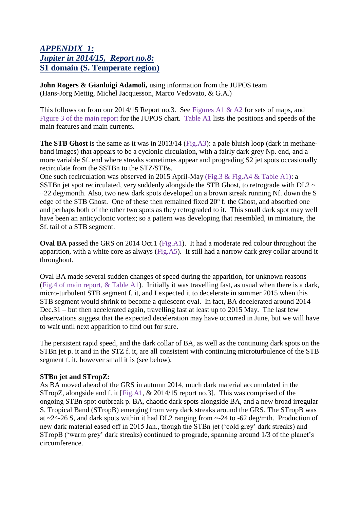## *APPENDIX 1: Jupiter in 2014/15, Report no.8:* **S1 domain (S. Temperate region)**

**John Rogers & Gianluigi Adamoli,** using information from the JUPOS team (Hans-Jorg Mettig, Michel Jacquesson, Marco Vedovato, & G.A.)

This follows on from our 2014/15 Report no.3. See Figures A1 & A2 for sets of maps, and Figure 3 of the main report for the JUPOS chart. Table A1 lists the positions and speeds of the main features and main currents.

**The STB Ghost** is the same as it was in 2013/14 (Fig.A3): a pale bluish loop (dark in methaneband images) that appears to be a cyclonic circulation, with a fairly dark grey Np. end, and a more variable Sf. end where streaks sometimes appear and prograding S2 jet spots occasionally recirculate from the SSTBn to the STZ/STBs.

One such recirculation was observed in 2015 April-May (Fig.3 & Fig.A4 & Table A1): a SSTBn jet spot recirculated, very suddenly alongside the STB Ghost, to retrograde with DL2  $\sim$ +22 deg/month. Also, two new dark spots developed on a brown streak running Nf. down the S edge of the STB Ghost. One of these then remained fixed 20º f. the Ghost, and absorbed one and perhaps both of the other two spots as they retrograded to it. This small dark spot may well have been an anticyclonic vortex; so a pattern was developing that resembled, in miniature, the Sf. tail of a STB segment.

**Oval BA** passed the GRS on 2014 Oct.1 (Fig.A1). It had a moderate red colour throughout the apparition, with a white core as always (Fig.A5). It still had a narrow dark grey collar around it throughout.

Oval BA made several sudden changes of speed during the apparition, for unknown reasons (Fig.4 of main report, & Table A1). Initially it was travelling fast, as usual when there is a dark, micro-turbulent STB segment f. it, and I expected it to decelerate in summer 2015 when this STB segment would shrink to become a quiescent oval. In fact, BA decelerated around 2014 Dec.31 – but then accelerated again, travelling fast at least up to 2015 May. The last few observations suggest that the expected deceleration may have occurred in June, but we will have to wait until next apparition to find out for sure.

The persistent rapid speed, and the dark collar of BA, as well as the continuing dark spots on the STBn jet p. it and in the STZ f. it, are all consistent with continuing microturbulence of the STB segment f. it, however small it is (see below).

## **STBn jet and STropZ:**

As BA moved ahead of the GRS in autumn 2014, much dark material accumulated in the STropZ, alongside and f. it [Fig.A1, & 2014/15 report no.3]. This was comprised of the ongoing STBn spot outbreak p. BA, chaotic dark spots alongside BA, and a new broad irregular S. Tropical Band (STropB) emerging from very dark streaks around the GRS. The STropB was at  $\sim$ 24-26 S, and dark spots within it had DL2 ranging from  $\sim$ -24 to -62 deg/mth. Production of new dark material eased off in 2015 Jan., though the STBn jet ('cold grey' dark streaks) and STropB ('warm grey' dark streaks) continued to prograde, spanning around 1/3 of the planet's circumference.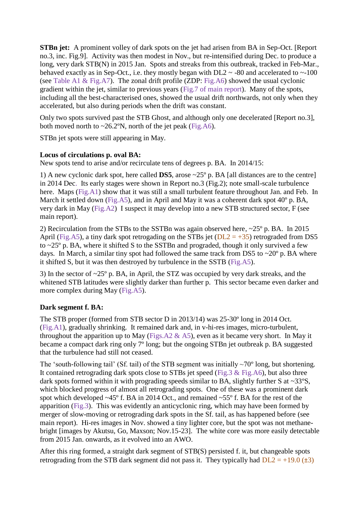**STBn jet:** A prominent volley of dark spots on the jet had arisen from BA in Sep-Oct. [Report no.3, inc. Fig.9]. Activity was then modest in Nov., but re-intensified during Dec. to produce a long, very dark STB(N) in 2015 Jan. Spots and streaks from this outbreak, tracked in Feb-Mar., behaved exactly as in Sep-Oct., i.e. they mostly began with  $DL2 \sim -80$  and accelerated to  $\sim 100$ (see Table A1 & Fig.A7). The zonal drift profile (ZDP: Fig.A6) showed the usual cyclonic gradient within the jet, similar to previous years (Fig.7 of main report). Many of the spots, including all the best-characterised ones, showed the usual drift northwards, not only when they accelerated, but also during periods when the drift was constant.

Only two spots survived past the STB Ghost, and although only one decelerated [Report no.3], both moved north to  $\sim$  26.2°N, north of the jet peak (Fig.A6).

STBn jet spots were still appearing in May.

## **Locus of circulations p. oval BA:**

New spots tend to arise and/or recirculate tens of degrees p. BA. In 2014/15:

1) A new cyclonic dark spot, here called **DS5**, arose ~25º p. BA [all distances are to the centre] in 2014 Dec. Its early stages were shown in Report no.3 (Fig.2); note small-scale turbulence here. Maps (Fig.A1) show that it was still a small turbulent feature throughout Jan. and Feb. In March it settled down (Fig.A5), and in April and May it was a coherent dark spot 40° p. BA, very dark in May (Fig.A2) I suspect it may develop into a new STB structured sector, F (see main report).

2) Recirculation from the STBs to the SSTBn was again observed here, ~25º p. BA. In 2015 April (Fig.A5), a tiny dark spot retrogading on the STBs jet ( $DL2 = +35$ ) retrograded from DS5 to  $\sim$  25 $\degree$  p. BA, where it shifted S to the SSTBn and prograded, though it only survived a few days. In March, a similar tiny spot had followed the same track from DS5 to  $\sim$ 20 $\degree$  p. BA where it shifted S, but it was then destroyed by turbulence in the SSTB (Fig.A5).

3) In the sector of ~25º p. BA, in April, the STZ was occupied by very dark streaks, and the whitened STB latitudes were slightly darker than further p. This sector became even darker and more complex during May (Fig.A5).

## **Dark segment f. BA:**

The STB proper (formed from STB sector D in 2013/14) was 25-30º long in 2014 Oct. (Fig.A1), gradually shrinking. It remained dark and, in v-hi-res images, micro-turbulent, throughout the apparition up to May (Figs.A2  $\&$  A5), even as it became very short. In May it became a compact dark ring only 7º long; but the ongoing STBn jet outbreak p. BA suggested that the turbulence had still not ceased.

The 'south-following tail' (Sf. tail) of the STB segment was initially  $\sim$ 70° long, but shortening. It contained retrograding dark spots close to STBs jet speed (Fig.3 & Fig.A6), but also three dark spots formed within it with prograding speeds similar to BA, slightly further S at  $\sim 33^{\circ}$ S, which blocked progress of almost all retrograding spots. One of these was a prominent dark spot which developed  $\sim$ 45° f. BA in 2014 Oct., and remained  $\sim$ 55° f. BA for the rest of the apparition (Fig.3). This was evidently an anticyclonic ring, which may have been formed by merger of slow-moving or retrograding dark spots in the Sf. tail, as has happened before (see main report). Hi-res images in Nov. showed a tiny lighter core, but the spot was not methanebright [images by Akutsu, Go, Maxson; Nov.15-23]. The white core was more easily detectable from 2015 Jan. onwards, as it evolved into an AWO.

After this ring formed, a straight dark segment of STB(S) persisted f. it, but changeable spots retrograding from the STB dark segment did not pass it. They typically had  $DL2 = +19.0$  ( $\pm 3$ )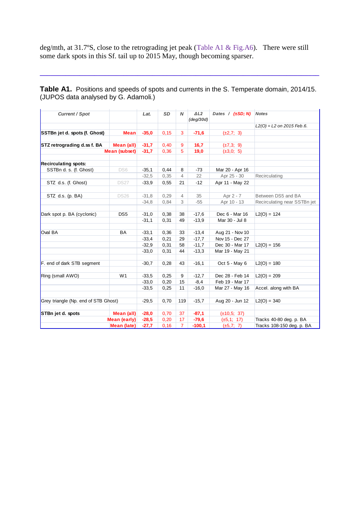deg/mth, at 31.7ºS, close to the retrograding jet peak (Table A1 & Fig.A6). There were still some dark spots in this Sf. tail up to 2015 May, though becoming sparser.

**Table A1.** Positions and speeds of spots and currents in the S. Temperate domain, 2014/15. **2006 ATT** Technological end operator of operations (JUPOS data analysed by G. Adamoli.) **(JUPOS data - GA analysis)** *Current / Spot Current / Spot Current / Spot Current / Spot Lat. SD N ΔL2 (deg/30)* 

**\_\_\_\_\_\_\_\_\_\_\_\_\_\_\_\_\_\_\_\_\_\_\_\_\_\_\_\_\_\_\_\_\_\_\_\_\_\_\_\_\_\_\_\_\_\_\_\_\_\_\_\_\_\_\_\_\_\_\_\_\_\_\_\_\_\_\_\_\_\_\_\_\_\_\_\_\_**

| <b>Current / Spot</b>                |                 | Lat.    | <b>SD</b> | N              | $\triangle$ L2<br>(deg/30d) | Dates / $(\pm SD; N)$ | <b>Notes</b>                 |
|--------------------------------------|-----------------|---------|-----------|----------------|-----------------------------|-----------------------|------------------------------|
|                                      |                 |         |           |                |                             |                       | $L2(0) = L2$ on 2015 Feb.6.  |
| SSTBn jet d. spots (f. Ghost)        | <b>Mean</b>     | $-35,0$ | 0, 15     | 3              | $-71,6$                     | $(\pm 2, 7; 3)$       |                              |
|                                      |                 |         |           |                |                             |                       |                              |
| STZ retrograding d.ss f. BA          | Mean (all)      | $-31,7$ | 0,40      | 9              | 16,7                        | $(\pm 7,3; 9)$        |                              |
|                                      | Mean (subset)   | $-31,7$ | 0,36      | 5              | 19,0                        | $(\pm 3, 0; 5)$       |                              |
|                                      |                 |         |           |                |                             |                       |                              |
| <b>Recirculating spots:</b>          |                 |         |           |                |                             |                       |                              |
| SSTBn d. s. (f. Ghost)               | DS6             | $-35,1$ | 0,44      | 8              | $-73$                       | Mar 20 - Apr 16       |                              |
|                                      |                 | $-32.5$ | 0,35      | 4              | 22                          | Apr 25 - 30           | Recirculating                |
| STZ d.s. (f. Ghost)                  | <b>DS27</b>     | $-33.9$ | 0.55      | 21             | $-12$                       | Apr 11 - May 22       |                              |
|                                      |                 |         |           |                |                             |                       |                              |
| STZ d.s. (p. BA)                     | <b>DS26</b>     | $-31,8$ | 0,29      | $\overline{4}$ | 35                          | Apr 2 - 7             | Between DS5 and BA           |
|                                      |                 | $-34.8$ | 0.84      | 3              | $-55$                       | Apr 10 - 13           | Recirculating near SSTBn jet |
|                                      |                 |         |           |                |                             |                       |                              |
| Dark spot p. BA (cyclonic)           | DS <sub>5</sub> | $-31,0$ | 0,38      | 38             | $-17,6$                     | Dec 6 - Mar 16        | $L2(O) = 124$                |
|                                      |                 | $-31,1$ | 0,31      | 49             | $-13.9$                     | Mar 30 - Jul 8        |                              |
|                                      |                 |         |           |                |                             |                       |                              |
| Oval BA                              | <b>BA</b>       | $-33,1$ | 0.36      | 33             | $-13,4$                     | Aug 21 - Nov 10       |                              |
|                                      |                 | $-33,4$ | 0.21      | 29             | $-17,7$                     | Nov 15 - Dec 27       |                              |
|                                      |                 | $-32.9$ | 0,31      | 58             | $-11,7$                     | Dec 30 - Mar 17       | $L2(O) = 156$                |
|                                      |                 | $-33,0$ | 0,31      | 44             | $-13,3$                     | Mar 19 - May 21       |                              |
|                                      |                 |         |           |                |                             |                       |                              |
| F. end of dark STB segment           |                 | $-30,7$ | 0,28      | 43             | $-16,1$                     | Oct $5 -$ May 6       | $L2(O) = 180$                |
|                                      |                 |         |           |                |                             |                       |                              |
| Ring (small AWO)                     | W <sub>1</sub>  | $-33.5$ | 0,25      | 9              | $-12,7$                     | Dec 28 - Feb 14       | $L2(O) = 209$                |
|                                      |                 | $-33.0$ | 0,20      | 15             | $-8,4$                      | Feb 19 - Mar 17       |                              |
|                                      |                 | $-33,5$ | 0,25      | 11             | $-16,0$                     | Mar 27 - May 16       | Accel. along with BA         |
|                                      |                 |         |           |                |                             |                       |                              |
| Grey triangle (Np. end of STB Ghost) |                 | $-29.5$ | 0.70      | 119            | $-15,7$                     | Aug 20 - Jun 12       | $L2(O) = 340$                |
|                                      |                 |         |           |                |                             |                       |                              |
| STBn jet d. spots                    | Mean (all)      | $-28,0$ | 0.70      | 37             | $-87,1$                     | $(\pm 10.5; 37)$      |                              |
| <b>Mean (early)</b>                  |                 | $-28,5$ | 0,20      | 17             | $-79,6$                     | $(\pm 5, 1; 17)$      | Tracks 40-80 deg. p. BA      |
|                                      | Mean (late)     | $-27.7$ | 0, 16     | $\overline{7}$ | $-100,1$                    | $(\pm 5, 7; 7)$       | Tracks 108-150 deg. p. BA    |